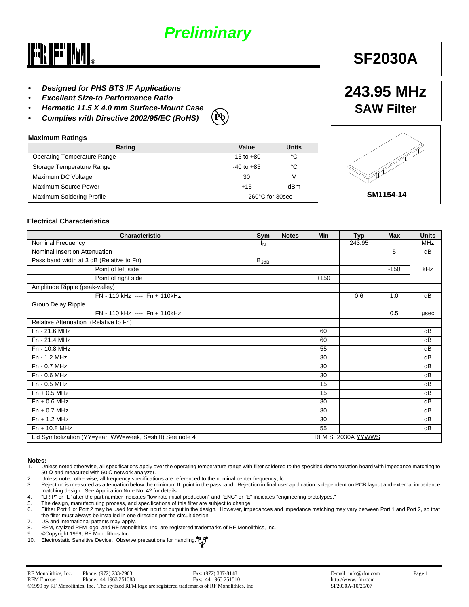# *Preliminary*



- *• Designed for PHS BTS IF Applications*
- *• Excellent Size-to Performance Ratio*
- *• Hermetic 11.5 X 4.0 mm Surface-Mount Case*
- *• Complies with Directive 2002/95/EC (RoHS)*



#### **Maximum Ratings**

| $-15$ to $+80$  | °C  |  |
|-----------------|-----|--|
| $-40$ to $+85$  | °C  |  |
| 30              |     |  |
| $+15$           | dBm |  |
| 260°C for 30sec |     |  |
|                 |     |  |

# 

**243.95 MHz**

**SF2030A**

**SAW Filter**

#### **Electrical Characteristics**

| <b>Characteristic</b>                                    | Sym       | <b>Notes</b> | <b>Min</b>      | <b>Typ</b>        | <b>Max</b> | <b>Units</b> |
|----------------------------------------------------------|-----------|--------------|-----------------|-------------------|------------|--------------|
| Nominal Frequency                                        | $f_N$     |              |                 | 243.95            |            | <b>MHz</b>   |
| Nominal Insertion Attenuation                            |           |              |                 |                   | 5          | dB           |
| Pass band width at 3 dB (Relative to Fn)                 | $B_{3dB}$ |              |                 |                   |            |              |
| Point of left side                                       |           |              |                 |                   | $-150$     | kHz          |
| Point of right side                                      |           |              | $+150$          |                   |            |              |
| Amplitude Ripple (peak-valley)                           |           |              |                 |                   |            |              |
| FN - 110 kHz ---- Fn + 110 kHz                           |           |              |                 | 0.6               | 1.0        | dB           |
| Group Delay Ripple                                       |           |              |                 |                   |            |              |
| FN - 110 kHz ---- Fn + 110 kHz                           |           |              |                 |                   | 0.5        | usec         |
| Relative Attenuation (Relative to Fn)                    |           |              |                 |                   |            |              |
| $Fn - 21.6 MHz$                                          |           |              | 60              |                   |            | dB           |
| Fn - 21.4 MHz                                            |           |              | 60              |                   |            | dB           |
| Fn - 10.8 MHz                                            |           |              | 55              |                   |            | dB           |
| Fn - 1.2 MHz                                             |           |              | 30              |                   |            | dB           |
| Fn - 0.7 MHz                                             |           |              | 30              |                   |            | dB           |
| Fn - 0.6 MHz                                             |           |              | 30              |                   |            | dB           |
| Fn - 0.5 MHz                                             |           |              | 15              |                   |            | dB           |
| $Fn + 0.5 MHz$                                           |           |              | 15              |                   |            | dB           |
| $Fn + 0.6 MHz$                                           |           |              | 30              |                   |            | dB           |
| $Fn + 0.7 MHz$                                           |           |              | 30              |                   |            | dB           |
| $Fn + 1.2 MHz$                                           |           |              | 30              |                   |            | dB           |
| $Fn + 10.8 MHz$                                          |           |              | $\overline{55}$ |                   |            | dB           |
| Lid Symbolization (YY=year, WW=week, S=shift) See note 4 |           |              |                 | RFM SF2030A YYWWS |            |              |

## **Notes:**

- 1. Unless noted otherwise, all specifications apply over the operating temperature range with filter soldered to the specified demonstration board with impedance matching to 50  $\Omega$  and measured with 50  $\Omega$  network analyzer.
- 2. Unless noted otherwise, all frequency specifications are referenced to the nominal center frequency, fc.
- 3. Rejection is measured as attenuation below the minimum IL point in the passband. Rejection in final user application is dependent on PCB layout and external impedance matching design. See Application Note No. 42 for details.
- 4. "LRIP" or "L" after the part number indicates "low rate initial production" and "ENG" or "E" indicates "engineering prototypes."
- 5. The design, manufacturing process, and specifications of this filter are subject to change. Either Port 1 or Port 2 may be used for either input or output in the design. However, impedances and impedance matching may vary between Port 1 and Port 2, so that the filter must always be installed in one direction per the circuit design.
- 7. US and international patents may apply.<br>8. RFM, stylized RFM logo, and RF Monoli
- 8. RFM, stylized RFM logo, and RF Monolithics, Inc. are registered trademarks of RF Monolithics, Inc.<br>9. © Copyright 1999. RF Monolithics Inc.
- 9. ©Copyright 1999, RF Monolithics Inc.
- 10. Electrostatic Sensitive Device. Observe precautions for handling.

**SM1154-14**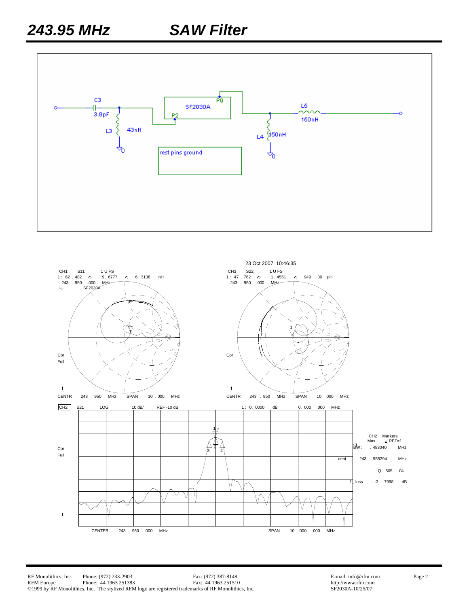

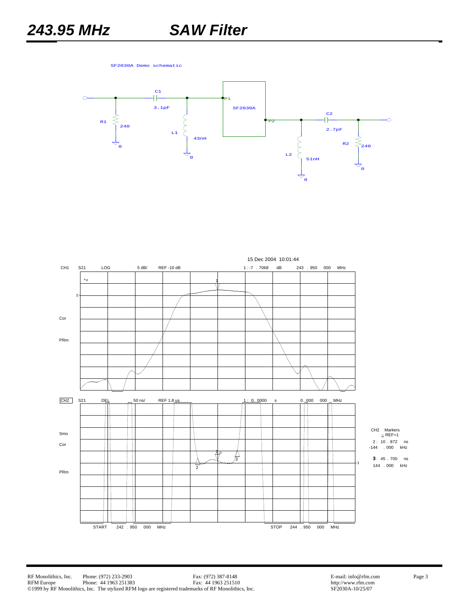SF2030A Demo schematic



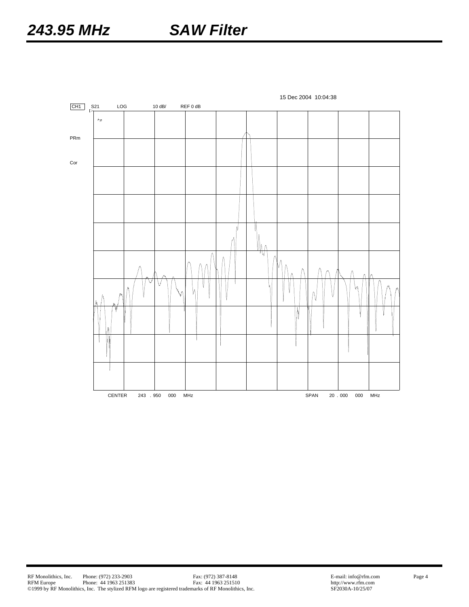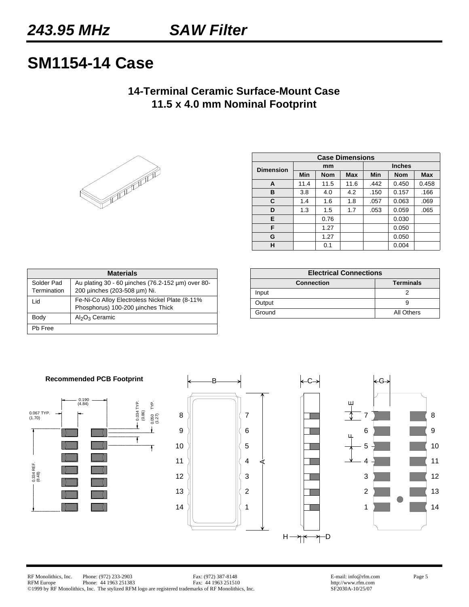# **SM1154-14 Case**

# **14-Terminal Ceramic Surface-Mount Case 11.5 x 4.0 mm Nominal Footprint**



| <b>Case Dimensions</b> |      |            |            |               |            |            |  |  |  |
|------------------------|------|------------|------------|---------------|------------|------------|--|--|--|
| <b>Dimension</b>       |      | mm         |            | <b>Inches</b> |            |            |  |  |  |
|                        | Min  | <b>Nom</b> | <b>Max</b> | Min           | <b>Nom</b> | <b>Max</b> |  |  |  |
| A                      | 11.4 | 11.5       | 11.6       | .442          | 0.450      | 0.458      |  |  |  |
| в                      | 3.8  | 4.0        | 4.2        | .150          | 0.157      | .166       |  |  |  |
| С                      | 1.4  | 1.6        | 1.8        | .057          | 0.063      | .069       |  |  |  |
| D                      | 1.3  | 1.5        | 1.7        | .053          | 0.059      | .065       |  |  |  |
| Е                      |      | 0.76       |            |               | 0.030      |            |  |  |  |
| F                      |      | 1.27       |            |               | 0.050      |            |  |  |  |
| G                      |      | 1.27       |            |               | 0.050      |            |  |  |  |
| н                      |      | 0.1        |            |               | 0.004      |            |  |  |  |

| <b>Materials</b>          |                                                                                      |  |  |  |  |  |  |
|---------------------------|--------------------------------------------------------------------------------------|--|--|--|--|--|--|
| Solder Pad<br>Termination | Au plating 30 - 60 unches (76.2-152 um) over 80-<br>200 uinches (203-508 um) Ni.     |  |  |  |  |  |  |
| Lid                       | Fe-Ni-Co Alloy Electroless Nickel Plate (8-11%)<br>Phosphorus) 100-200 µinches Thick |  |  |  |  |  |  |
| Body                      | $Al_2O_3$ Ceramic                                                                    |  |  |  |  |  |  |
| Ph Free                   |                                                                                      |  |  |  |  |  |  |

| <b>Electrical Connections</b>         |            |  |  |  |  |  |  |
|---------------------------------------|------------|--|--|--|--|--|--|
| <b>Terminals</b><br><b>Connection</b> |            |  |  |  |  |  |  |
| Input                                 |            |  |  |  |  |  |  |
| Output                                |            |  |  |  |  |  |  |
| Ground                                | All Others |  |  |  |  |  |  |





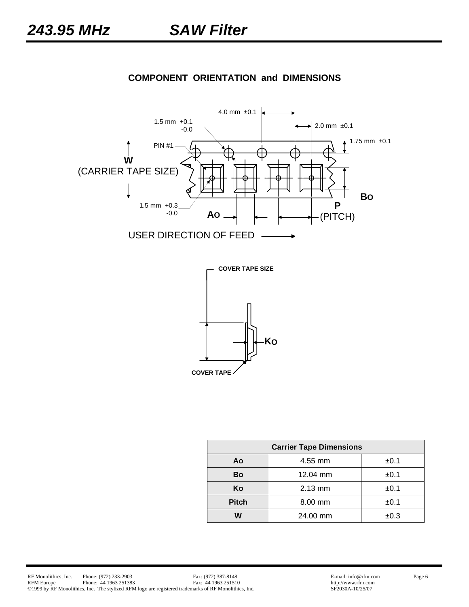

## **COMPONENT ORIENTATION and DIMENSIONS**



| <b>Carrier Tape Dimensions</b> |           |      |  |  |  |  |  |  |
|--------------------------------|-----------|------|--|--|--|--|--|--|
| Ao                             | ±0.1      |      |  |  |  |  |  |  |
| Bo                             | 12.04 mm  | ±0.1 |  |  |  |  |  |  |
| Κo                             | 2.13 mm   | ±0.1 |  |  |  |  |  |  |
| <b>Pitch</b>                   | $8.00$ mm | ±0.1 |  |  |  |  |  |  |
| W                              | 24.00 mm  | ±0.3 |  |  |  |  |  |  |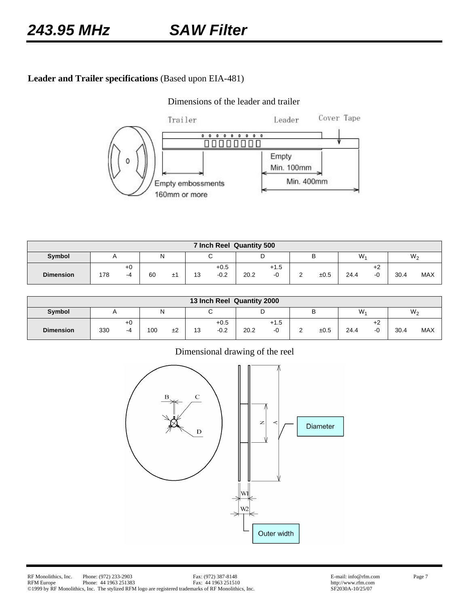## **Leader and Trailer specifications** (Based upon EIA-481)

#### Dimensions of the leader and trailer



| 7 Inch Reel Quantity 500 |     |            |    |    |           |                  |      |                   |  |      |      |           |                |            |
|--------------------------|-----|------------|----|----|-----------|------------------|------|-------------------|--|------|------|-----------|----------------|------------|
| Symbol                   |     |            | N  |    |           | ັ                |      |                   |  | P    | W.   |           | W <sub>2</sub> |            |
| <b>Dimension</b>         | 178 | $+0$<br>-4 | 60 | ±1 | 12<br>ں ا | $+0.5$<br>$-0.2$ | 20.2 | $+1.5$<br>⌒<br>-1 |  | ±0.5 | 24.4 | $+2$<br>◠ | 30.4           | <b>MAX</b> |

| 13 Inch Reel Quantity 2000 |     |              |        |    |    |                  |      |              |   |      |       |              |      |                |
|----------------------------|-----|--------------|--------|----|----|------------------|------|--------------|---|------|-------|--------------|------|----------------|
| Symbol                     |     |              | N<br>ັ |    |    |                  | ັ    |              | ് |      | $W_1$ |              |      | W <sub>2</sub> |
| <b>Dimension</b>           | 330 | $+0$<br>$-4$ | 100    | ±2 | 13 | $+0.5$<br>$-0.2$ | 20.2 | $+1.5$<br>-0 |   | ±0.5 | 24.4  | $+2$<br>$-0$ | 30.4 | <b>MAX</b>     |

#### Dimensional drawing of the reel

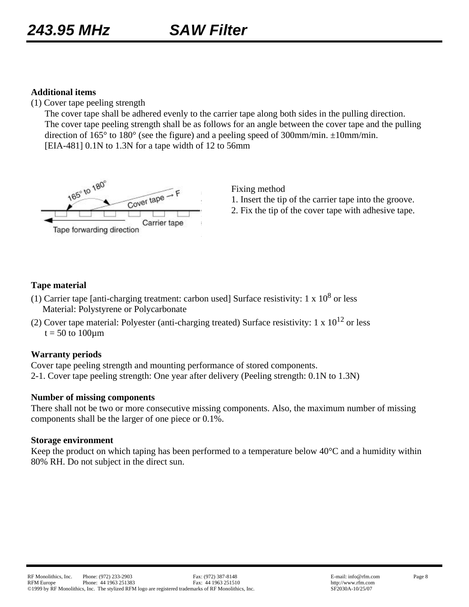#### **Additional items**

(1) Cover tape peeling strength

 The cover tape shall be adhered evenly to the carrier tape along both sides in the pulling direction. The cover tape peeling strength shall be as follows for an angle between the cover tape and the pulling direction of 165° to 180° (see the figure) and a peeling speed of 300mm/min. ±10mm/min. [EIA-481] 0.1N to 1.3N for a tape width of 12 to 56mm



Fixing method

- 1. Insert the tip of the carrier tape into the groove.
- 2. Fix the tip of the cover tape with adhesive tape.

#### **Tape material**

- (1) Carrier tape [anti-charging treatment: carbon used] Surface resistivity: 1 x  $10^8$  or less Material: Polystyrene or Polycarbonate
- (2) Cover tape material: Polyester (anti-charging treated) Surface resistivity: 1 x  $10^{12}$  or less  $t = 50$  to  $100 \mu m$

#### **Warranty periods**

Cover tape peeling strength and mounting performance of stored components. 2-1. Cover tape peeling strength: One year after delivery (Peeling strength: 0.1N to 1.3N)

#### **Number of missing components**

There shall not be two or more consecutive missing components. Also, the maximum number of missing components shall be the larger of one piece or 0.1%.

#### **Storage environment**

Keep the product on which taping has been performed to a temperature below 40°C and a humidity within 80% RH. Do not subject in the direct sun.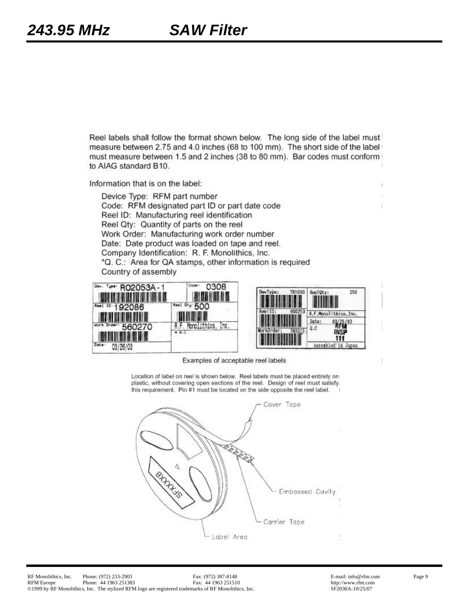Reel labels shall follow the format shown below. The long side of the label must measure between 2.75 and 4.0 inches (68 to 100 mm). The short side of the label must measure between 1.5 and 2 inches (38 to 80 mm). Bar codes must conform to AIAG standard B10.

Information that is on the label:

Device Type: RFM part number Code: RFM designated part ID or part date code Reel ID: Manufacturing reel identification Reel Qty: Quantity of parts on the reel Work Order: Manufacturing work order number Date: Date product was loaded on tape and reel. Company Identification: R. F. Monolithics, Inc. \*Q. C.: Area for QA stamps, other information is required Country of assembly





Examples of acceptable reel labels

Location of label on reel is shown below. Reel labels must be placed entirely on plastic, without covering open sections of the reel. Design of reel must satisfy. this requirement. Pin #1 must be located on the side opposite the reel label.

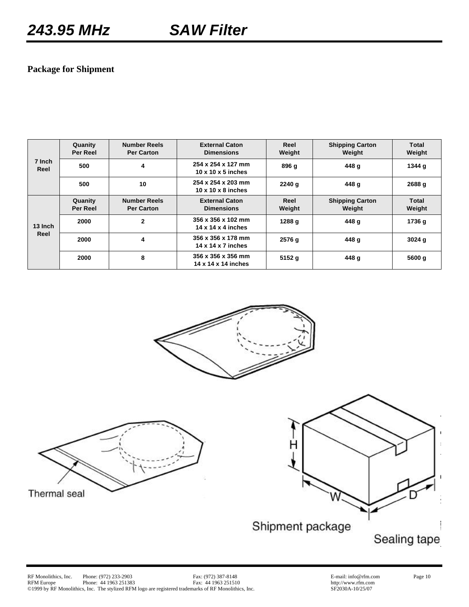## **Package for Shipment**

| 7 Inch<br>Reel | Quanity<br>Per Reel | <b>Number Reels</b><br><b>Per Carton</b> | <b>External Caton</b><br><b>Dimensions</b>           | Reel<br>Weight | <b>Shipping Carton</b><br>Weight | Total<br>Weight |
|----------------|---------------------|------------------------------------------|------------------------------------------------------|----------------|----------------------------------|-----------------|
|                | 500                 | 4                                        | 254 x 254 x 127 mm<br>$10 \times 10 \times 5$ inches | 896 g          | 448 g                            | 1344 g          |
|                | 500                 | 10                                       | 254 x 254 x 203 mm<br>$10 \times 10 \times 8$ inches | 2240q          | 448 g                            | 2688 g          |
|                | Quanity<br>Per Reel | <b>Number Reels</b><br><b>Per Carton</b> | <b>External Caton</b><br><b>Dimensions</b>           | Reel<br>Weight | <b>Shipping Carton</b><br>Weight | Total<br>Weight |
| 13 Inch        | 2000                | 2                                        | 356 x 356 x 102 mm<br>14 x 14 x 4 inches             | 1288 g         | 448 g                            | 1736 g          |
| Reel           | 2000                | 4                                        | 356 x 356 x 178 mm<br>14 x 14 x 7 inches             | 2576 g         | 448 g                            | 3024q           |
|                | 2000                | 8                                        | 356 x 356 x 356 mm<br>14 x 14 x 14 inches            | 5152q          | 448 g                            | 5600 g          |





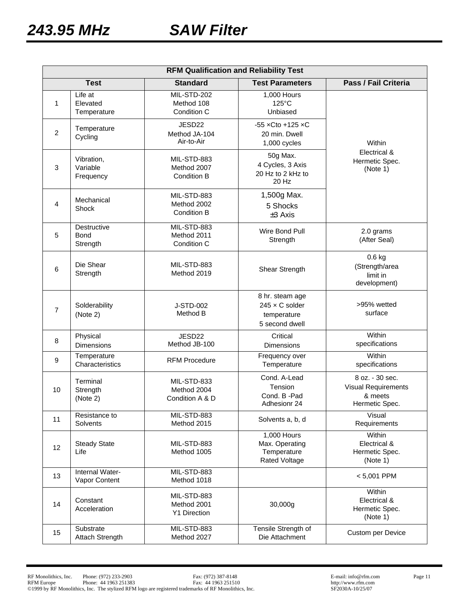| <b>RFM Qualification and Reliability Test</b> |                                        |                                                   |                                                                           |                                                                            |  |  |  |  |
|-----------------------------------------------|----------------------------------------|---------------------------------------------------|---------------------------------------------------------------------------|----------------------------------------------------------------------------|--|--|--|--|
|                                               | <b>Test</b>                            | <b>Standard</b>                                   | <b>Test Parameters</b>                                                    | Pass / Fail Criteria                                                       |  |  |  |  |
| 1                                             | Life at<br>Elevated<br>Temperature     | MIL-STD-202<br>Method 108<br>Condition C          | 1,000 Hours<br>$125^{\circ}$ C<br>Unbiased                                |                                                                            |  |  |  |  |
| $\overline{2}$                                | Temperature<br>Cycling                 | JESD22<br>Method JA-104<br>Air-to-Air             | $-55$ xCto $+125$ xC<br>20 min. Dwell<br>1,000 cycles                     | Within                                                                     |  |  |  |  |
| 3                                             | Vibration,<br>Variable<br>Frequency    | MIL-STD-883<br>Method 2007<br>Condition B         | 50g Max.<br>4 Cycles, 3 Axis<br>20 Hz to 2 kHz to<br>20 Hz                | Electrical &<br>Hermetic Spec.<br>(Note 1)                                 |  |  |  |  |
| 4                                             | Mechanical<br>Shock                    | MIL-STD-883<br>Method 2002<br>Condition B         | 1,500g Max.<br>5 Shocks<br>$±3$ Axis                                      |                                                                            |  |  |  |  |
| 5                                             | Destructive<br><b>Bond</b><br>Strength | MIL-STD-883<br>Method 2011<br>Condition C         | Wire Bond Pull<br>Strength                                                | 2.0 grams<br>(After Seal)                                                  |  |  |  |  |
| 6                                             | Die Shear<br>Strength                  | MIL-STD-883<br>Method 2019                        | Shear Strength                                                            | $0.6$ kg<br>(Strength/area<br>limit in<br>development)                     |  |  |  |  |
| $\overline{7}$                                | Solderability<br>(Note 2)              | J-STD-002<br>Method B                             | 8 hr. steam age<br>$245 \times C$ solder<br>temperature<br>5 second dwell | >95% wetted<br>surface                                                     |  |  |  |  |
| 8                                             | Physical<br>Dimensions                 | JESD22<br>Method JB-100                           | Critical<br>Dimensions                                                    | Within<br>specifications                                                   |  |  |  |  |
| 9                                             | Temperature<br>Characteristics         | <b>RFM Procedure</b>                              | Frequency over<br>Temperature                                             | Within<br>specifications                                                   |  |  |  |  |
| 10                                            | Terminal<br>Strength<br>(Note 2)       | MIL-STD-833<br>Method 2004<br>Condition A & D     | Cond. A-Lead<br>Tension<br>Cond. B -Pad<br>Adhesionr 24                   | 8 oz. - 30 sec.<br><b>Visual Requirements</b><br>& meets<br>Hermetic Spec. |  |  |  |  |
| 11                                            | Resistance to<br>Solvents              | MIL-STD-883<br>Method 2015                        | Solvents a, b, d                                                          | Visual<br>Requirements                                                     |  |  |  |  |
| 12                                            | <b>Steady State</b><br>Life            | MIL-STD-883<br>Method 1005                        | 1,000 Hours<br>Max. Operating<br>Temperature<br><b>Rated Voltage</b>      | Within<br>Electrical &<br>Hermetic Spec.<br>(Note 1)                       |  |  |  |  |
| 13                                            | Internal Water-<br>Vapor Content       | MIL-STD-883<br>Method 1018                        |                                                                           | $< 5,001$ PPM                                                              |  |  |  |  |
| 14                                            | Constant<br>Acceleration               | MIL-STD-883<br>Method 2001<br><b>Y1 Direction</b> | 30,000g                                                                   | Within<br>Electrical &<br>Hermetic Spec.<br>(Note 1)                       |  |  |  |  |
| 15                                            | Substrate<br>Attach Strength           | MIL-STD-883<br>Method 2027                        | Tensile Strength of<br>Die Attachment                                     | <b>Custom per Device</b>                                                   |  |  |  |  |